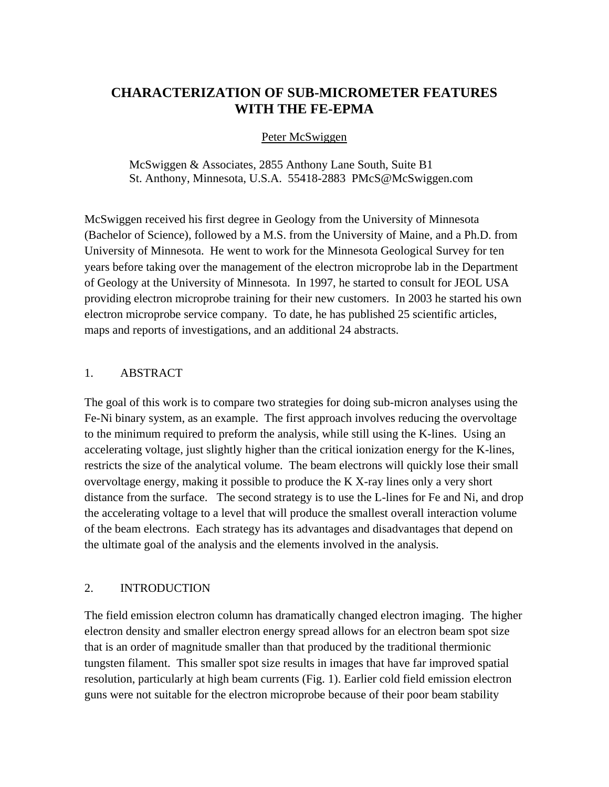# **CHARACTERIZATION OF SUB-MICROMETER FEATURES WITH THE FE-EPMA**

### Peter McSwiggen

McSwiggen & Associates, 2855 Anthony Lane South, Suite B1 St. Anthony, Minnesota, U.S.A. 55418-2883 PMcS@McSwiggen.com

McSwiggen received his first degree in Geology from the University of Minnesota (Bachelor of Science), followed by a M.S. from the University of Maine, and a Ph.D. from University of Minnesota. He went to work for the Minnesota Geological Survey for ten years before taking over the management of the electron microprobe lab in the Department of Geology at the University of Minnesota. In 1997, he started to consult for JEOL USA providing electron microprobe training for their new customers. In 2003 he started his own electron microprobe service company. To date, he has published 25 scientific articles, maps and reports of investigations, and an additional 24 abstracts.

#### 1. ABSTRACT

The goal of this work is to compare two strategies for doing sub-micron analyses using the Fe-Ni binary system, as an example. The first approach involves reducing the overvoltage to the minimum required to preform the analysis, while still using the K-lines. Using an accelerating voltage, just slightly higher than the critical ionization energy for the K-lines, restricts the size of the analytical volume. The beam electrons will quickly lose their small overvoltage energy, making it possible to produce the K X-ray lines only a very short distance from the surface. The second strategy is to use the L-lines for Fe and Ni, and drop the accelerating voltage to a level that will produce the smallest overall interaction volume of the beam electrons. Each strategy has its advantages and disadvantages that depend on the ultimate goal of the analysis and the elements involved in the analysis.

### 2. INTRODUCTION

The field emission electron column has dramatically changed electron imaging. The higher electron density and smaller electron energy spread allows for an electron beam spot size that is an order of magnitude smaller than that produced by the traditional thermionic tungsten filament. This smaller spot size results in images that have far improved spatial resolution, particularly at high beam currents (Fig. 1). Earlier cold field emission electron guns were not suitable for the electron microprobe because of their poor beam stability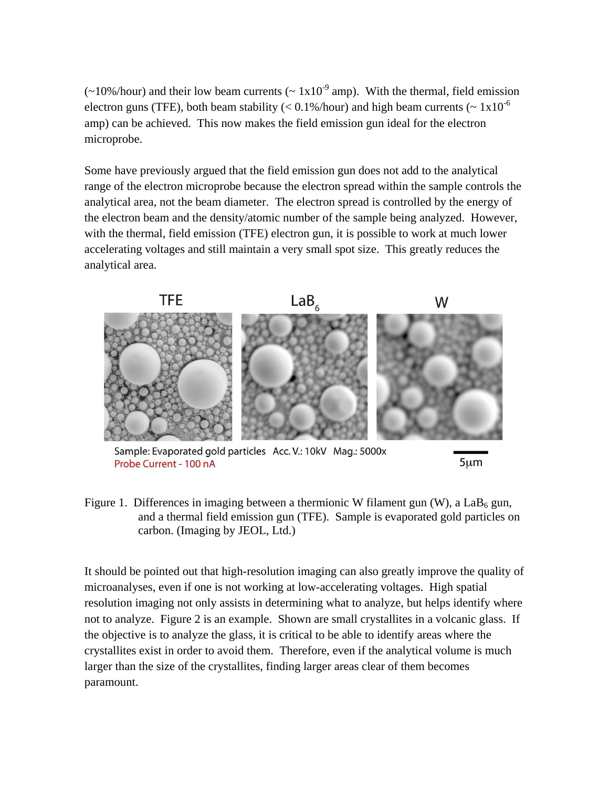$\left(\sim 10\% / \text{hour}\right)$  and their low beam currents ( $\sim 1 \times 10^{-9}$  amp). With the thermal, field emission electron guns (TFE), both beam stability ( $\langle 0.1\% / \text{hour}}$ ) and high beam currents ( $\sim 1x10^{-6}$ ) amp) can be achieved. This now makes the field emission gun ideal for the electron microprobe.

Some have previously argued that the field emission gun does not add to the analytical range of the electron microprobe because the electron spread within the sample controls the analytical area, not the beam diameter. The electron spread is controlled by the energy of the electron beam and the density/atomic number of the sample being analyzed. However, with the thermal, field emission (TFE) electron gun, it is possible to work at much lower accelerating voltages and still maintain a very small spot size. This greatly reduces the analytical area.



Sample: Evaporated gold particles Acc. V.: 10kV Mag.: 5000x Probe Current - 100 nA

 $5 \mu m$ 

Figure 1. Differences in imaging between a thermionic W filament gun  $(W)$ , a LaB<sub>6</sub> gun, and a thermal field emission gun (TFE). Sample is evaporated gold particles on carbon. (Imaging by JEOL, Ltd.)

It should be pointed out that high-resolution imaging can also greatly improve the quality of microanalyses, even if one is not working at low-accelerating voltages. High spatial resolution imaging not only assists in determining what to analyze, but helps identify where not to analyze. Figure 2 is an example. Shown are small crystallites in a volcanic glass. If the objective is to analyze the glass, it is critical to be able to identify areas where the crystallites exist in order to avoid them. Therefore, even if the analytical volume is much larger than the size of the crystallites, finding larger areas clear of them becomes paramount.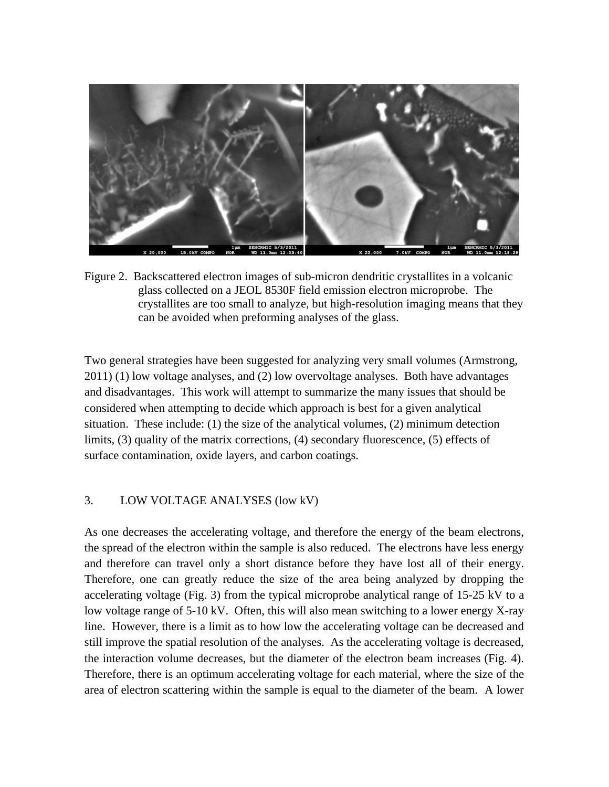

Figure 2. Backscattered electron images of sub-micron dendritic crystallites in a volcanic glass collected on a JEOL 8530F field emission electron microprobe. The crystallites are too small to analyze, but high-resolution imaging means that they can be avoided when preforming analyses of the glass.

Two general strategies have been suggested for analyzing very small volumes (Armstrong, 2011) (1) low voltage analyses, and (2) low overvoltage analyses. Both have advantages and disadvantages. This work will attempt to summarize the many issues that should be considered when attempting to decide which approach is best for a given analytical situation. These include: (1) the size of the analytical volumes, (2) minimum detection limits, (3) quality of the matrix corrections, (4) secondary fluorescence, (5) effects of surface contamination, oxide layers, and carbon coatings.

# 3. LOW VOLTAGE ANALYSES (low kV)

As one decreases the accelerating voltage, and therefore the energy of the beam electrons, the spread of the electron within the sample is also reduced. The electrons have less energy and therefore can travel only a short distance before they have lost all of their energy. Therefore, one can greatly reduce the size of the area being analyzed by dropping the accelerating voltage (Fig. 3) from the typical microprobe analytical range of 15-25 kV to a low voltage range of 5-10 kV. Often, this will also mean switching to a lower energy X-ray line. However, there is a limit as to how low the accelerating voltage can be decreased and still improve the spatial resolution of the analyses. As the accelerating voltage is decreased, the interaction volume decreases, but the diameter of the electron beam increases (Fig. 4). Therefore, there is an optimum accelerating voltage for each material, where the size of the area of electron scattering within the sample is equal to the diameter of the beam. A lower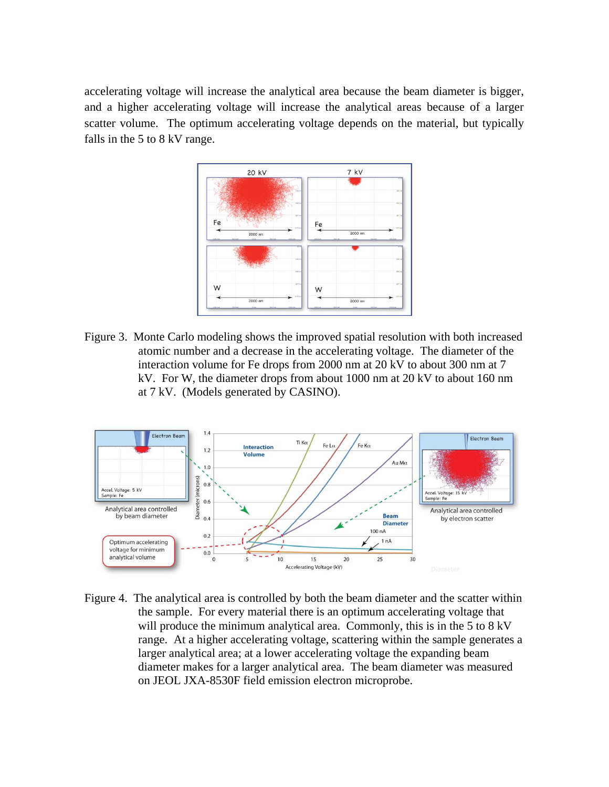accelerating voltage will increase the analytical area because the beam diameter is bigger, and a higher accelerating voltage will increase the analytical areas because of a larger scatter volume. The optimum accelerating voltage depends on the material, but typically falls in the 5 to 8 kV range.



Figure 3. Monte Carlo modeling shows the improved spatial resolution with both increased atomic number and a decrease in the accelerating voltage. The diameter of the interaction volume for Fe drops from 2000 nm at 20 kV to about 300 nm at 7 kV. For W, the diameter drops from about 1000 nm at 20 kV to about 160 nm at 7 kV. (Models generated by CASINO).



Figure 4. The analytical area is controlled by both the beam diameter and the scatter within the sample. For every material there is an optimum accelerating voltage that will produce the minimum analytical area. Commonly, this is in the 5 to 8 kV range. At a higher accelerating voltage, scattering within the sample generates a larger analytical area; at a lower accelerating voltage the expanding beam diameter makes for a larger analytical area. The beam diameter was measured on JEOL JXA-8530F field emission electron microprobe.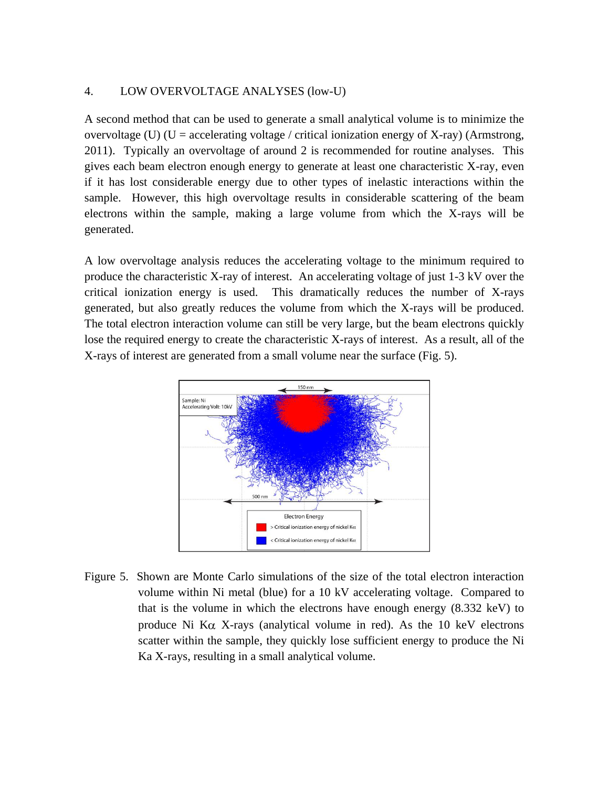#### 4. LOW OVERVOLTAGE ANALYSES (low-U)

A second method that can be used to generate a small analytical volume is to minimize the overvoltage (U) (U = accelerating voltage / critical ionization energy of X-ray) (Armstrong, 2011). Typically an overvoltage of around 2 is recommended for routine analyses. This gives each beam electron enough energy to generate at least one characteristic X-ray, even if it has lost considerable energy due to other types of inelastic interactions within the sample. However, this high overvoltage results in considerable scattering of the beam electrons within the sample, making a large volume from which the X-rays will be generated.

A low overvoltage analysis reduces the accelerating voltage to the minimum required to produce the characteristic X-ray of interest. An accelerating voltage of just 1-3 kV over the critical ionization energy is used. This dramatically reduces the number of X-rays generated, but also greatly reduces the volume from which the X-rays will be produced. The total electron interaction volume can still be very large, but the beam electrons quickly lose the required energy to create the characteristic X-rays of interest. As a result, all of the X-rays of interest are generated from a small volume near the surface (Fig. 5).



Figure 5. Shown are Monte Carlo simulations of the size of the total electron interaction volume within Ni metal (blue) for a 10 kV accelerating voltage. Compared to that is the volume in which the electrons have enough energy (8.332 keV) to produce Ni K $\alpha$  X-rays (analytical volume in red). As the 10 keV electrons scatter within the sample, they quickly lose sufficient energy to produce the Ni Ka X-rays, resulting in a small analytical volume.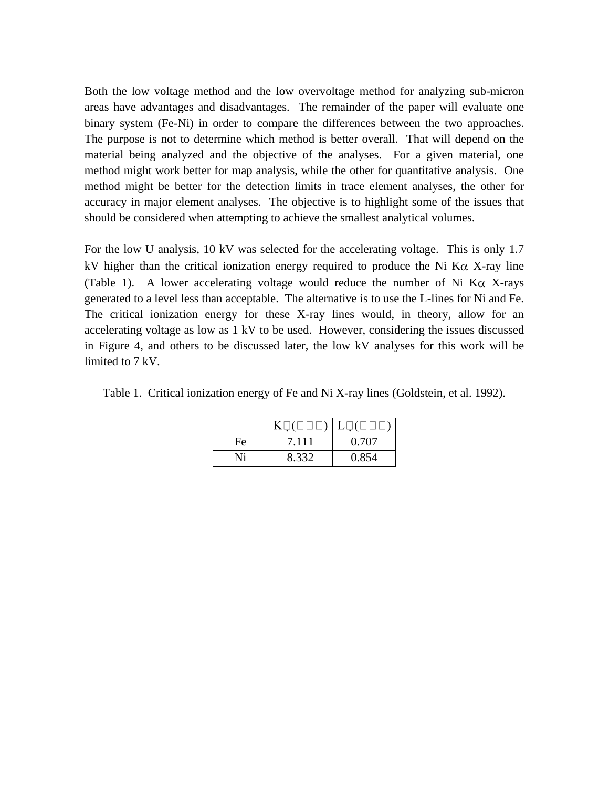Both the low voltage method and the low overvoltage method for analyzing sub-micron areas have advantages and disadvantages. The remainder of the paper will evaluate one binary system (Fe-Ni) in order to compare the differences between the two approaches. The purpose is not to determine which method is better overall. That will depend on the material being analyzed and the objective of the analyses. For a given material, one method might work better for map analysis, while the other for quantitative analysis. One method might be better for the detection limits in trace element analyses, the other for accuracy in major element analyses. The objective is to highlight some of the issues that should be considered when attempting to achieve the smallest analytical volumes.

For the low U analysis, 10 kV was selected for the accelerating voltage. This is only 1.7 kV higher than the critical ionization energy required to produce the Ni K $\alpha$  X-ray line (Table 1). A lower accelerating voltage would reduce the number of Ni K $\alpha$  X-rays generated to a level less than acceptable. The alternative is to use the L-lines for Ni and Fe. The critical ionization energy for these X-ray lines would, in theory, allow for an accelerating voltage as low as 1 kV to be used. However, considering the issues discussed in Figure 4, and others to be discussed later, the low kV analyses for this work will be limited to 7 kV.

Table 1. Critical ionization energy of Fe and Ni X-ray lines (Goldstein, et al. 1992).

| Fe | 7.111 | 0.707 |
|----|-------|-------|
| Ni | 8.332 | 0.854 |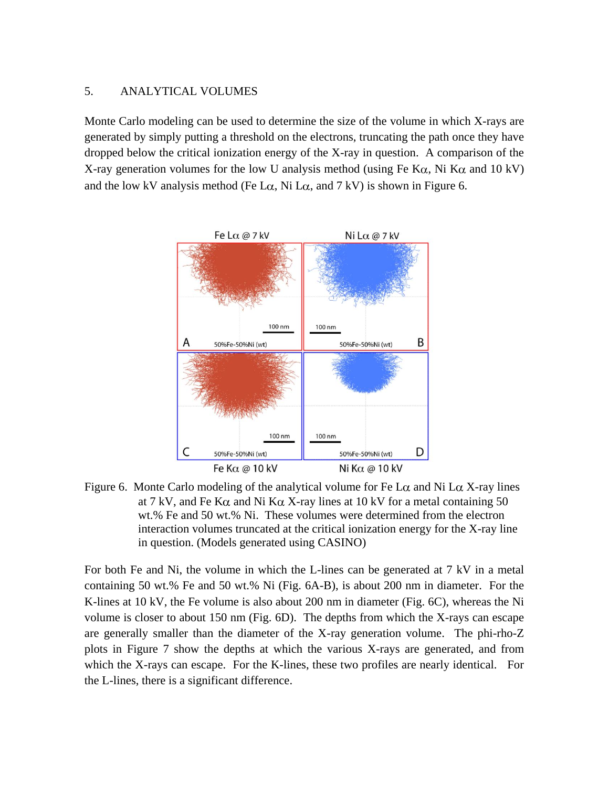## 5. ANALYTICAL VOLUMES

Monte Carlo modeling can be used to determine the size of the volume in which X-rays are generated by simply putting a threshold on the electrons, truncating the path once they have dropped below the critical ionization energy of the X-ray in question. A comparison of the X-ray generation volumes for the low U analysis method (using Fe K $\alpha$ , Ni K $\alpha$  and 10 kV) and the low kV analysis method (Fe  $L\alpha$ , Ni  $L\alpha$ , and 7 kV) is shown in Figure 6.



Figure 6. Monte Carlo modeling of the analytical volume for Fe L $\alpha$  and Ni L $\alpha$  X-ray lines at 7 kV, and Fe K $\alpha$  and Ni K $\alpha$  X-ray lines at 10 kV for a metal containing 50 wt.% Fe and 50 wt.% Ni. These volumes were determined from the electron interaction volumes truncated at the critical ionization energy for the X-ray line in question. (Models generated using CASINO)

For both Fe and Ni, the volume in which the L-lines can be generated at 7 kV in a metal containing 50 wt.% Fe and 50 wt.% Ni (Fig. 6A-B), is about 200 nm in diameter. For the K-lines at 10 kV, the Fe volume is also about 200 nm in diameter (Fig. 6C), whereas the Ni volume is closer to about 150 nm (Fig. 6D). The depths from which the X-rays can escape are generally smaller than the diameter of the X-ray generation volume. The phi-rho-Z plots in Figure 7 show the depths at which the various X-rays are generated, and from which the X-rays can escape. For the K-lines, these two profiles are nearly identical. For the L-lines, there is a significant difference.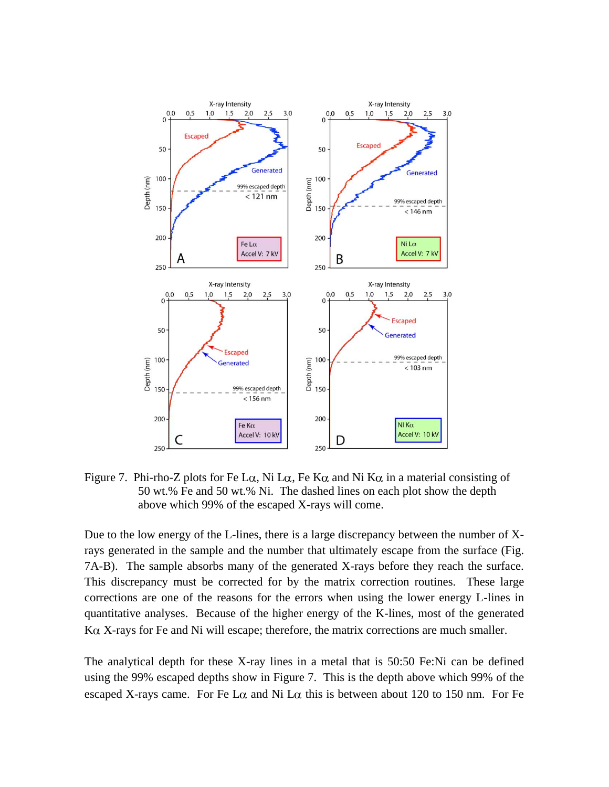

Figure 7. Phi-rho-Z plots for Fe L $\alpha$ , Ni L $\alpha$ , Fe K $\alpha$  and Ni K $\alpha$  in a material consisting of 50 wt.% Fe and 50 wt.% Ni. The dashed lines on each plot show the depth above which 99% of the escaped X-rays will come.

Due to the low energy of the L-lines, there is a large discrepancy between the number of Xrays generated in the sample and the number that ultimately escape from the surface (Fig. 7A-B). The sample absorbs many of the generated X-rays before they reach the surface. This discrepancy must be corrected for by the matrix correction routines. These large corrections are one of the reasons for the errors when using the lower energy L-lines in quantitative analyses. Because of the higher energy of the K-lines, most of the generated  $K\alpha$  X-rays for Fe and Ni will escape; therefore, the matrix corrections are much smaller.

The analytical depth for these X-ray lines in a metal that is 50:50 Fe:Ni can be defined using the 99% escaped depths show in Figure 7. This is the depth above which 99% of the escaped X-rays came. For Fe L $\alpha$  and Ni L $\alpha$  this is between about 120 to 150 nm. For Fe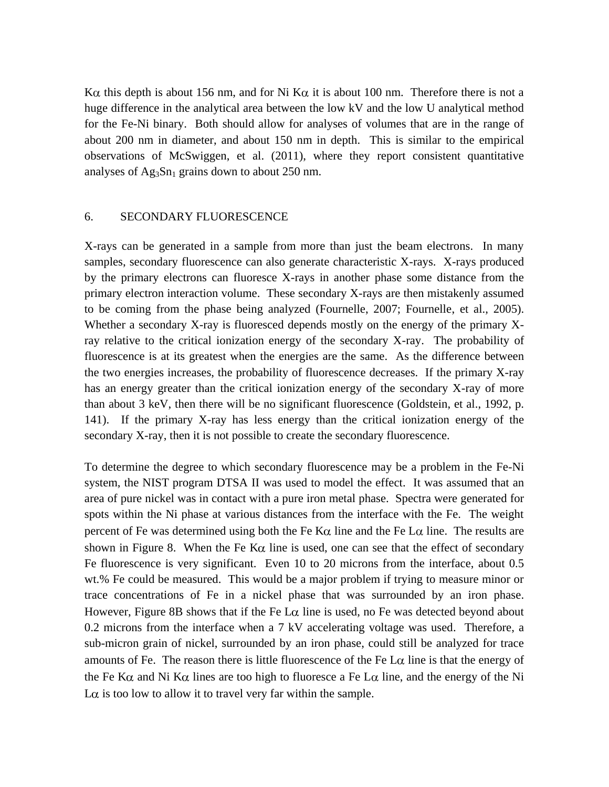K $\alpha$  this depth is about 156 nm, and for Ni K $\alpha$  it is about 100 nm. Therefore there is not a huge difference in the analytical area between the low kV and the low U analytical method for the Fe-Ni binary. Both should allow for analyses of volumes that are in the range of about 200 nm in diameter, and about 150 nm in depth. This is similar to the empirical observations of McSwiggen, et al. (2011), where they report consistent quantitative analyses of  $Ag_3Sn_1$  grains down to about 250 nm.

#### 6. SECONDARY FLUORESCENCE

X-rays can be generated in a sample from more than just the beam electrons. In many samples, secondary fluorescence can also generate characteristic X-rays. X-rays produced by the primary electrons can fluoresce X-rays in another phase some distance from the primary electron interaction volume. These secondary X-rays are then mistakenly assumed to be coming from the phase being analyzed (Fournelle, 2007; Fournelle, et al., 2005). Whether a secondary X-ray is fluoresced depends mostly on the energy of the primary Xray relative to the critical ionization energy of the secondary X-ray. The probability of fluorescence is at its greatest when the energies are the same. As the difference between the two energies increases, the probability of fluorescence decreases. If the primary X-ray has an energy greater than the critical ionization energy of the secondary X-ray of more than about 3 keV, then there will be no significant fluorescence (Goldstein, et al., 1992, p. 141). If the primary X-ray has less energy than the critical ionization energy of the secondary X-ray, then it is not possible to create the secondary fluorescence.

To determine the degree to which secondary fluorescence may be a problem in the Fe-Ni system, the NIST program DTSA II was used to model the effect. It was assumed that an area of pure nickel was in contact with a pure iron metal phase. Spectra were generated for spots within the Ni phase at various distances from the interface with the Fe. The weight percent of Fe was determined using both the Fe K $\alpha$  line and the Fe L $\alpha$  line. The results are shown in Figure 8. When the Fe K $\alpha$  line is used, one can see that the effect of secondary Fe fluorescence is very significant. Even 10 to 20 microns from the interface, about 0.5 wt.% Fe could be measured. This would be a major problem if trying to measure minor or trace concentrations of Fe in a nickel phase that was surrounded by an iron phase. However, Figure 8B shows that if the Fe  $L\alpha$  line is used, no Fe was detected beyond about 0.2 microns from the interface when a 7 kV accelerating voltage was used. Therefore, a sub-micron grain of nickel, surrounded by an iron phase, could still be analyzed for trace amounts of Fe. The reason there is little fluorescence of the Fe  $L\alpha$  line is that the energy of the Fe K $\alpha$  and Ni K $\alpha$  lines are too high to fluoresce a Fe L $\alpha$  line, and the energy of the Ni L $\alpha$  is too low to allow it to travel very far within the sample.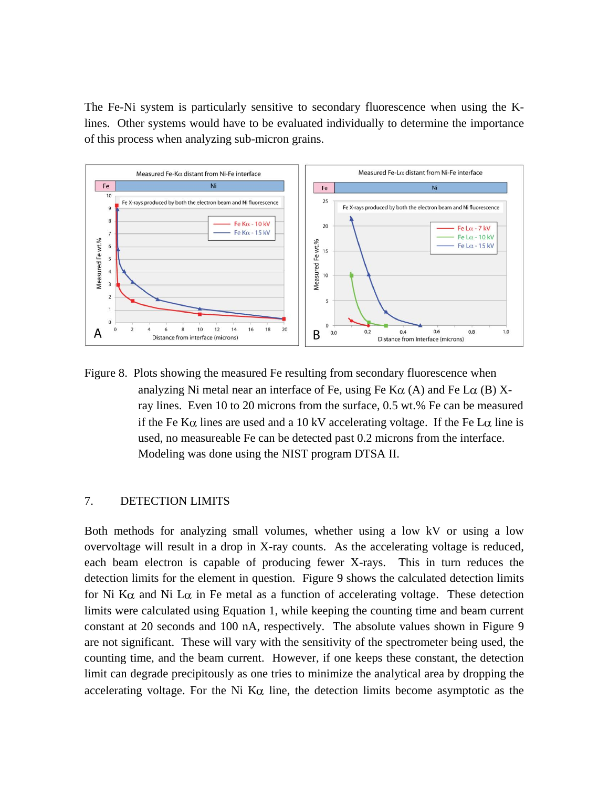The Fe-Ni system is particularly sensitive to secondary fluorescence when using the Klines. Other systems would have to be evaluated individually to determine the importance of this process when analyzing sub-micron grains.



Figure 8. Plots showing the measured Fe resulting from secondary fluorescence when analyzing Ni metal near an interface of Fe, using Fe  $K\alpha$  (A) and Fe L $\alpha$  (B) Xray lines. Even 10 to 20 microns from the surface, 0.5 wt.% Fe can be measured if the Fe K $\alpha$  lines are used and a 10 kV accelerating voltage. If the Fe L $\alpha$  line is used, no measureable Fe can be detected past 0.2 microns from the interface. Modeling was done using the NIST program DTSA II.

## 7. DETECTION LIMITS

Both methods for analyzing small volumes, whether using a low kV or using a low overvoltage will result in a drop in X-ray counts. As the accelerating voltage is reduced, each beam electron is capable of producing fewer X-rays. This in turn reduces the detection limits for the element in question. Figure 9 shows the calculated detection limits for Ni K $\alpha$  and Ni L $\alpha$  in Fe metal as a function of accelerating voltage. These detection limits were calculated using Equation 1, while keeping the counting time and beam current constant at 20 seconds and 100 nA, respectively. The absolute values shown in Figure 9 are not significant. These will vary with the sensitivity of the spectrometer being used, the counting time, and the beam current. However, if one keeps these constant, the detection limit can degrade precipitously as one tries to minimize the analytical area by dropping the accelerating voltage. For the Ni K $\alpha$  line, the detection limits become asymptotic as the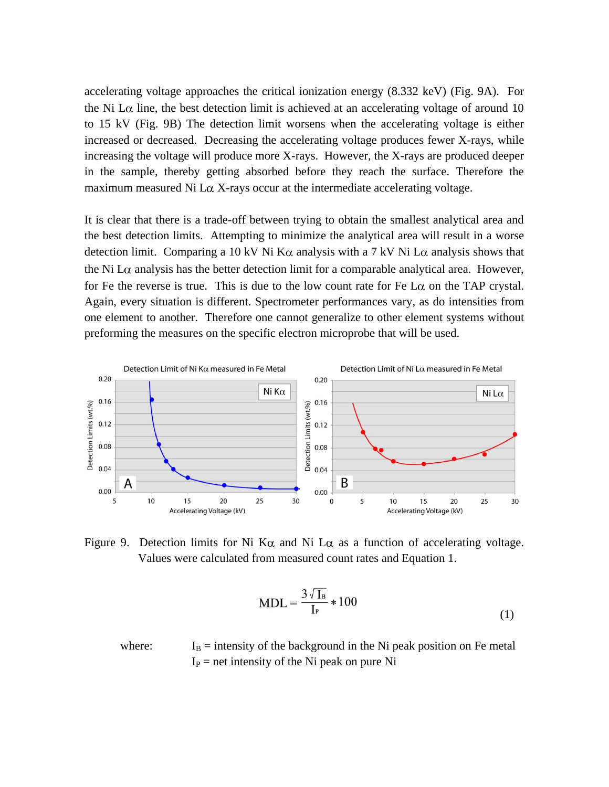accelerating voltage approaches the critical ionization energy (8.332 keV) (Fig. 9A). For the Ni L $\alpha$  line, the best detection limit is achieved at an accelerating voltage of around 10 to 15 kV (Fig. 9B) The detection limit worsens when the accelerating voltage is either increased or decreased. Decreasing the accelerating voltage produces fewer X-rays, while increasing the voltage will produce more X-rays. However, the X-rays are produced deeper in the sample, thereby getting absorbed before they reach the surface. Therefore the maximum measured Ni L $\alpha$  X-rays occur at the intermediate accelerating voltage.

It is clear that there is a trade-off between trying to obtain the smallest analytical area and the best detection limits. Attempting to minimize the analytical area will result in a worse detection limit. Comparing a 10 kV Ni K $\alpha$  analysis with a 7 kV Ni L $\alpha$  analysis shows that the Ni L $\alpha$  analysis has the better detection limit for a comparable analytical area. However, for Fe the reverse is true. This is due to the low count rate for Fe  $L\alpha$  on the TAP crystal. Again, every situation is different. Spectrometer performances vary, as do intensities from one element to another. Therefore one cannot generalize to other element systems without preforming the measures on the specific electron microprobe that will be used.



Figure 9. Detection limits for Ni K $\alpha$  and Ni L $\alpha$  as a function of accelerating voltage. Values were calculated from measured count rates and Equation 1.

$$
MDL = \frac{3\sqrt{1_B}}{I_P} * 100
$$
 (1)

where:  $I_B =$  intensity of the background in the Ni peak position on Fe metal  $I_P$  = net intensity of the Ni peak on pure Ni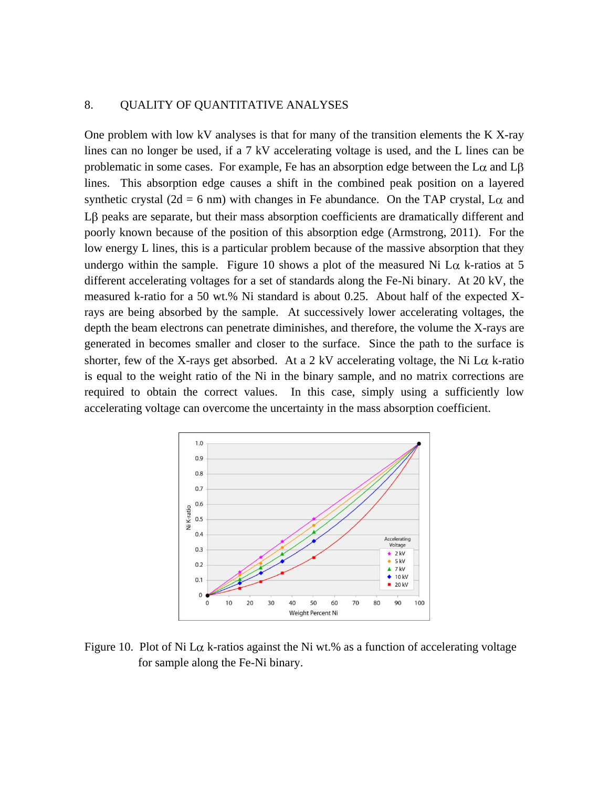#### 8. QUALITY OF QUANTITATIVE ANALYSES

One problem with low kV analyses is that for many of the transition elements the K X-ray lines can no longer be used, if a 7 kV accelerating voltage is used, and the L lines can be problematic in some cases. For example, Fe has an absorption edge between the  $L\alpha$  and  $L\beta$ lines. This absorption edge causes a shift in the combined peak position on a layered synthetic crystal (2d = 6 nm) with changes in Fe abundance. On the TAP crystal, L $\alpha$  and  $L\beta$  peaks are separate, but their mass absorption coefficients are dramatically different and poorly known because of the position of this absorption edge (Armstrong, 2011). For the low energy L lines, this is a particular problem because of the massive absorption that they undergo within the sample. Figure 10 shows a plot of the measured Ni  $L\alpha$  k-ratios at 5 different accelerating voltages for a set of standards along the Fe-Ni binary. At 20 kV, the measured k-ratio for a 50 wt.% Ni standard is about 0.25. About half of the expected Xrays are being absorbed by the sample. At successively lower accelerating voltages, the depth the beam electrons can penetrate diminishes, and therefore, the volume the X-rays are generated in becomes smaller and closer to the surface. Since the path to the surface is shorter, few of the X-rays get absorbed. At a 2 kV accelerating voltage, the Ni L $\alpha$  k-ratio is equal to the weight ratio of the Ni in the binary sample, and no matrix corrections are required to obtain the correct values. In this case, simply using a sufficiently low accelerating voltage can overcome the uncertainty in the mass absorption coefficient.



Figure 10. Plot of Ni L $\alpha$  k-ratios against the Ni wt.% as a function of accelerating voltage for sample along the Fe-Ni binary.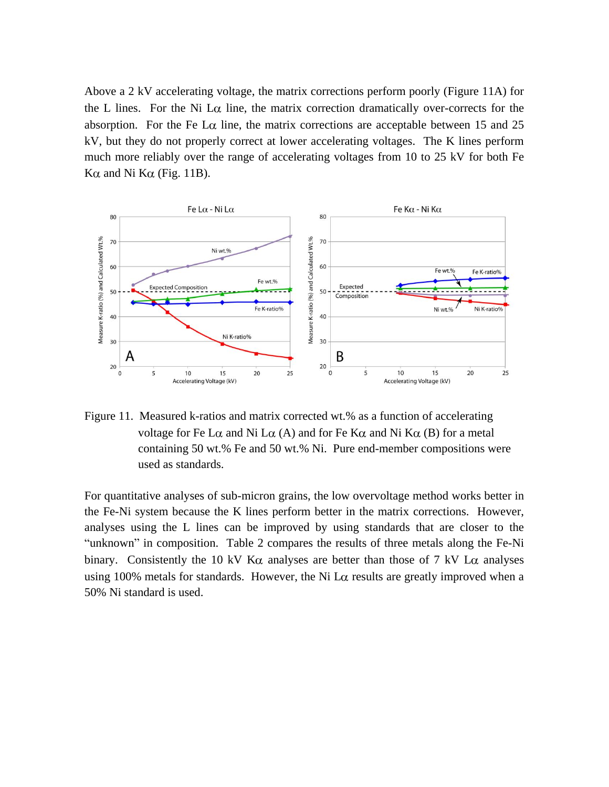Above a 2 kV accelerating voltage, the matrix corrections perform poorly (Figure 11A) for the L lines. For the Ni L $\alpha$  line, the matrix correction dramatically over-corrects for the absorption. For the Fe  $\text{L}\alpha$  line, the matrix corrections are acceptable between 15 and 25 kV, but they do not properly correct at lower accelerating voltages. The K lines perform much more reliably over the range of accelerating voltages from 10 to 25 kV for both Fe Kα and Ni Kα (Fig. 11B).



Figure 11. Measured k-ratios and matrix corrected wt.% as a function of accelerating voltage for Fe L $\alpha$  and Ni L $\alpha$  (A) and for Fe K $\alpha$  and Ni K $\alpha$  (B) for a metal containing 50 wt.% Fe and 50 wt.% Ni. Pure end-member compositions were used as standards.

For quantitative analyses of sub-micron grains, the low overvoltage method works better in the Fe-Ni system because the K lines perform better in the matrix corrections. However, analyses using the L lines can be improved by using standards that are closer to the "unknown" in composition. Table 2 compares the results of three metals along the Fe-Ni binary. Consistently the 10 kV K $\alpha$  analyses are better than those of 7 kV L $\alpha$  analyses using 100% metals for standards. However, the Ni L $\alpha$  results are greatly improved when a 50% Ni standard is used.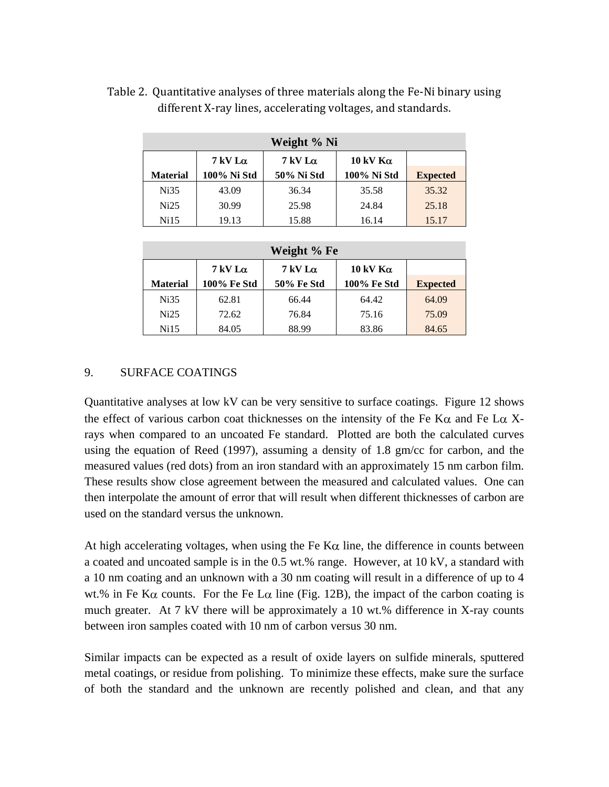| Weight % Ni     |                              |                              |                  |                 |  |  |
|-----------------|------------------------------|------------------------------|------------------|-----------------|--|--|
|                 | $7 \,\mathrm{kV}$ L $\alpha$ | $7 \,\mathrm{kV}$ L $\alpha$ | 10 kV K $\alpha$ |                 |  |  |
| <b>Material</b> | 100% Ni Std                  | 50% Ni Std                   | 100% Ni Std      | <b>Expected</b> |  |  |
| Ni35            | 43.09                        | 36.34                        | 35.58            | 35.32           |  |  |
| Ni25            | 30.99                        | 25.98                        | 24.84            | 25.18           |  |  |
| Ni15            | 19.13                        | 15.88                        | 16.14            | 15.17           |  |  |

Table 2. Quantitative analyses of three materials along the Fe-Ni binary using different X-ray lines, accelerating voltages, and standards.

| Weight % Fe     |                              |                              |                    |                 |  |  |
|-----------------|------------------------------|------------------------------|--------------------|-----------------|--|--|
|                 | $7 \,\mathrm{kV}$ L $\alpha$ | $7 \,\mathrm{kV}$ L $\alpha$ | 10 kV $K\alpha$    |                 |  |  |
| <b>Material</b> | 100% Fe Std                  | <b>50% Fe Std</b>            | <b>100% Fe Std</b> | <b>Expected</b> |  |  |
| Ni35            | 62.81                        | 66.44                        | 64.42              | 64.09           |  |  |
| Ni25            | 72.62                        | 76.84                        | 75.16              | 75.09           |  |  |
| Ni15            | 84.05                        | 88.99                        | 83.86              | 84.65           |  |  |

# 9. SURFACE COATINGS

Quantitative analyses at low kV can be very sensitive to surface coatings. Figure 12 shows the effect of various carbon coat thicknesses on the intensity of the Fe K $\alpha$  and Fe L $\alpha$  Xrays when compared to an uncoated Fe standard. Plotted are both the calculated curves using the equation of Reed (1997), assuming a density of 1.8 gm/cc for carbon, and the measured values (red dots) from an iron standard with an approximately 15 nm carbon film. These results show close agreement between the measured and calculated values. One can then interpolate the amount of error that will result when different thicknesses of carbon are used on the standard versus the unknown.

At high accelerating voltages, when using the Fe  $K\alpha$  line, the difference in counts between a coated and uncoated sample is in the 0.5 wt.% range. However, at 10 kV, a standard with a 10 nm coating and an unknown with a 30 nm coating will result in a difference of up to 4 wt.% in Fe K $\alpha$  counts. For the Fe L $\alpha$  line (Fig. 12B), the impact of the carbon coating is much greater. At 7 kV there will be approximately a 10 wt.% difference in X-ray counts between iron samples coated with 10 nm of carbon versus 30 nm.

Similar impacts can be expected as a result of oxide layers on sulfide minerals, sputtered metal coatings, or residue from polishing. To minimize these effects, make sure the surface of both the standard and the unknown are recently polished and clean, and that any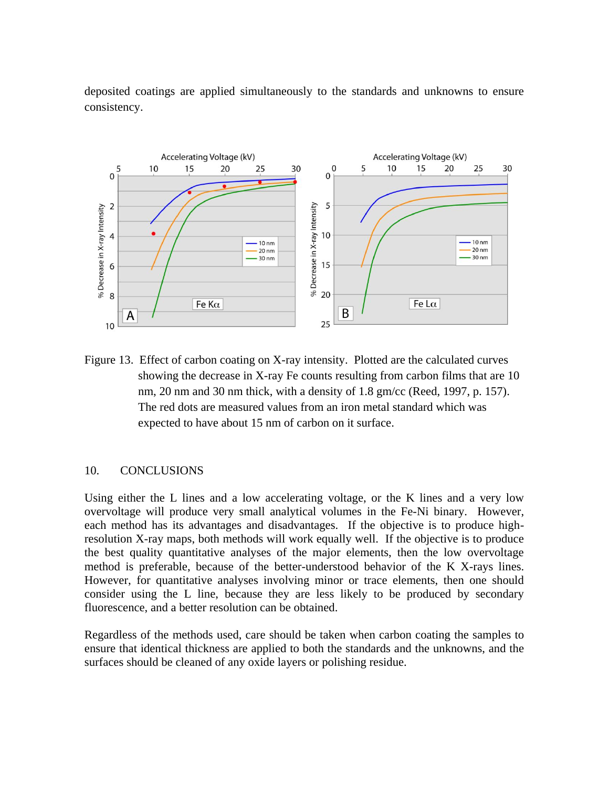deposited coatings are applied simultaneously to the standards and unknowns to ensure consistency.



Figure 13. Effect of carbon coating on X-ray intensity. Plotted are the calculated curves showing the decrease in X-ray Fe counts resulting from carbon films that are 10 nm, 20 nm and 30 nm thick, with a density of 1.8 gm/cc (Reed, 1997, p. 157). The red dots are measured values from an iron metal standard which was expected to have about 15 nm of carbon on it surface.

# 10. CONCLUSIONS

Using either the L lines and a low accelerating voltage, or the K lines and a very low overvoltage will produce very small analytical volumes in the Fe-Ni binary. However, each method has its advantages and disadvantages. If the objective is to produce highresolution X-ray maps, both methods will work equally well. If the objective is to produce the best quality quantitative analyses of the major elements, then the low overvoltage method is preferable, because of the better-understood behavior of the K X-rays lines. However, for quantitative analyses involving minor or trace elements, then one should consider using the L line, because they are less likely to be produced by secondary fluorescence, and a better resolution can be obtained.

Regardless of the methods used, care should be taken when carbon coating the samples to ensure that identical thickness are applied to both the standards and the unknowns, and the surfaces should be cleaned of any oxide layers or polishing residue.